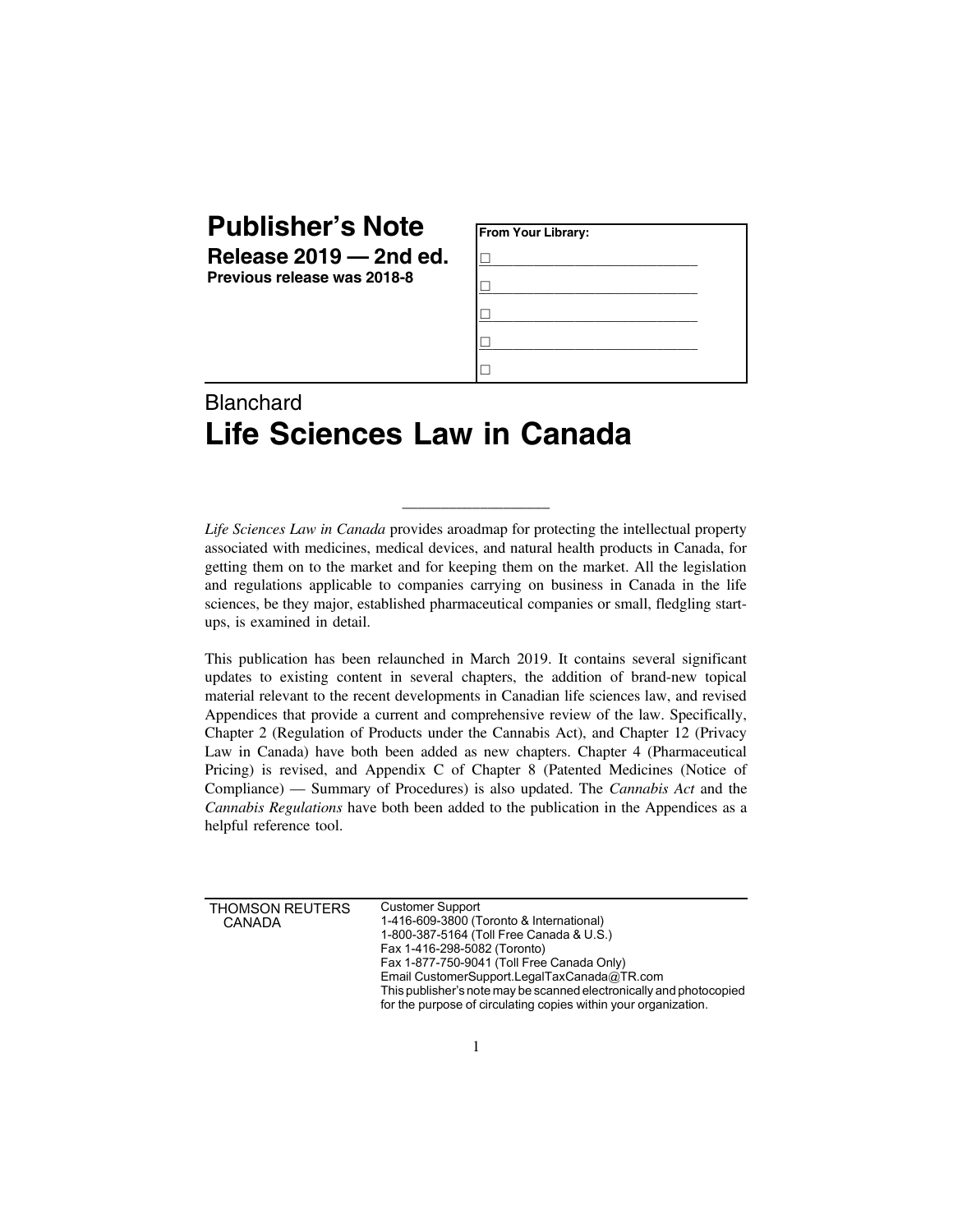| <b>Publisher's Note</b> |            |
|-------------------------|------------|
| Delesse 2010            | $2nd \sim$ |

**Release 2019 — 2nd ed. Previous release was 2018-8**

| From Your Library: |  |
|--------------------|--|
|                    |  |
|                    |  |
|                    |  |
|                    |  |
|                    |  |

## Blanchard **Life Sciences Law in Canada**

*Life Sciences Law in Canada* provides aroadmap for protecting the intellectual property associated with medicines, medical devices, and natural health products in Canada, for getting them on to the market and for keeping them on the market. All the legislation and regulations applicable to companies carrying on business in Canada in the life sciences, be they major, established pharmaceutical companies or small, fledgling startups, is examined in detail.

\_\_\_\_\_\_\_\_\_\_\_\_\_\_\_\_\_\_\_

This publication has been relaunched in March 2019. It contains several significant updates to existing content in several chapters, the addition of brand-new topical material relevant to the recent developments in Canadian life sciences law, and revised Appendices that provide a current and comprehensive review of the law. Specifically, Chapter 2 (Regulation of Products under the Cannabis Act), and Chapter 12 (Privacy Law in Canada) have both been added as new chapters. Chapter 4 (Pharmaceutical Pricing) is revised, and Appendix C of Chapter 8 (Patented Medicines (Notice of Compliance) — Summary of Procedures) is also updated. The *Cannabis Act* and the *Cannabis Regulations* have both been added to the publication in the Appendices as a helpful reference tool.

| THOMSON REUTERS<br><b>CANADA</b> | <b>Customer Support</b><br>1-416-609-3800 (Toronto & International)<br>1-800-387-5164 (Toll Free Canada & U.S.)<br>Fax 1-416-298-5082 (Toronto)<br>Fax 1-877-750-9041 (Toll Free Canada Only)<br>Email CustomerSupport.LegalTaxCanada@TR.com<br>This publisher's note may be scanned electronically and photocopied<br>for the purpose of circulating copies within your organization. |
|----------------------------------|----------------------------------------------------------------------------------------------------------------------------------------------------------------------------------------------------------------------------------------------------------------------------------------------------------------------------------------------------------------------------------------|
|----------------------------------|----------------------------------------------------------------------------------------------------------------------------------------------------------------------------------------------------------------------------------------------------------------------------------------------------------------------------------------------------------------------------------------|